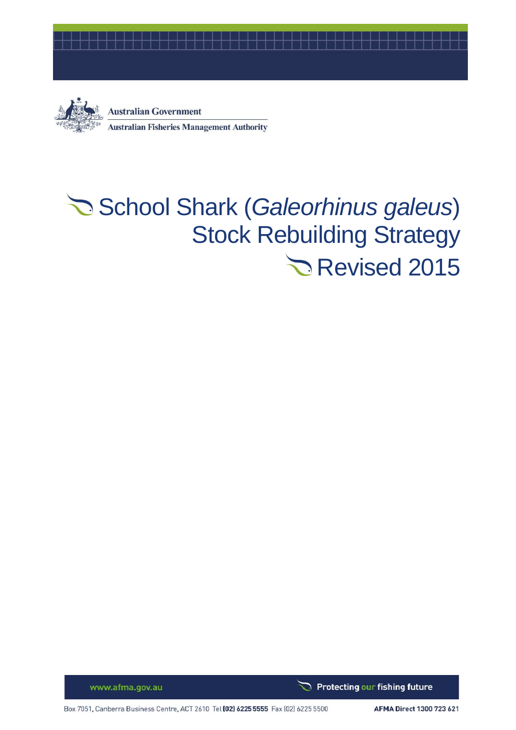



# School Shark (Galeorhinus galeus) **Stock Rebuilding Strategy** Revised 2015

www.afma.gov.au

Protecting our fishing future

Box 7051, Canberra Business Centre, ACT 2610 Tel (02) 6225 5555 Fax (02) 6225 5500

AFMA Direct 1300 723 621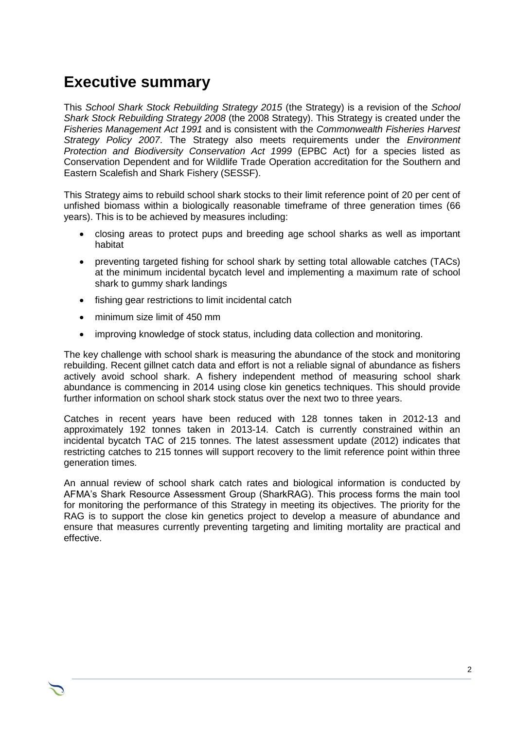# **Executive summary**

This *School Shark Stock Rebuilding Strategy 2015* (the Strategy) is a revision of the *School Shark Stock Rebuilding Strategy 2008* (the 2008 Strategy). This Strategy is created under the *Fisheries Management Act 1991* and is consistent with the *Commonwealth Fisheries Harvest Strategy Policy 2007*. The Strategy also meets requirements under the *Environment Protection and Biodiversity Conservation Act 1999* (EPBC Act) for a species listed as Conservation Dependent and for Wildlife Trade Operation accreditation for the Southern and Eastern Scalefish and Shark Fishery (SESSF).

This Strategy aims to rebuild school shark stocks to their limit reference point of 20 per cent of unfished biomass within a biologically reasonable timeframe of three generation times (66 years). This is to be achieved by measures including:

- closing areas to protect pups and breeding age school sharks as well as important habitat
- preventing targeted fishing for school shark by setting total allowable catches (TACs) at the minimum incidental bycatch level and implementing a maximum rate of school shark to gummy shark landings
- fishing gear restrictions to limit incidental catch
- minimum size limit of 450 mm
- improving knowledge of stock status, including data collection and monitoring.

The key challenge with school shark is measuring the abundance of the stock and monitoring rebuilding. Recent gillnet catch data and effort is not a reliable signal of abundance as fishers actively avoid school shark. A fishery independent method of measuring school shark abundance is commencing in 2014 using close kin genetics techniques. This should provide further information on school shark stock status over the next two to three years.

Catches in recent years have been reduced with 128 tonnes taken in 2012-13 and approximately 192 tonnes taken in 2013-14. Catch is currently constrained within an incidental bycatch TAC of 215 tonnes. The latest assessment update (2012) indicates that restricting catches to 215 tonnes will support recovery to the limit reference point within three generation times.

An annual review of school shark catch rates and biological information is conducted by AFMA's Shark Resource Assessment Group (SharkRAG). This process forms the main tool for monitoring the performance of this Strategy in meeting its objectives. The priority for the RAG is to support the close kin genetics project to develop a measure of abundance and ensure that measures currently preventing targeting and limiting mortality are practical and effective.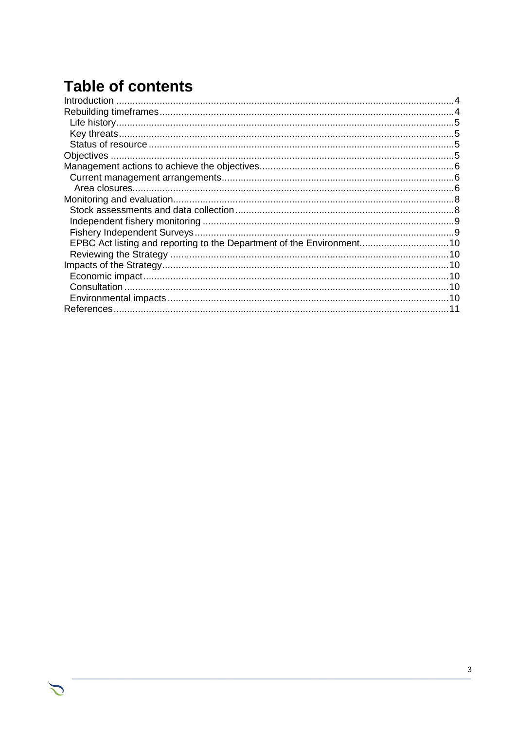# **Table of contents**

 $\tilde{C}$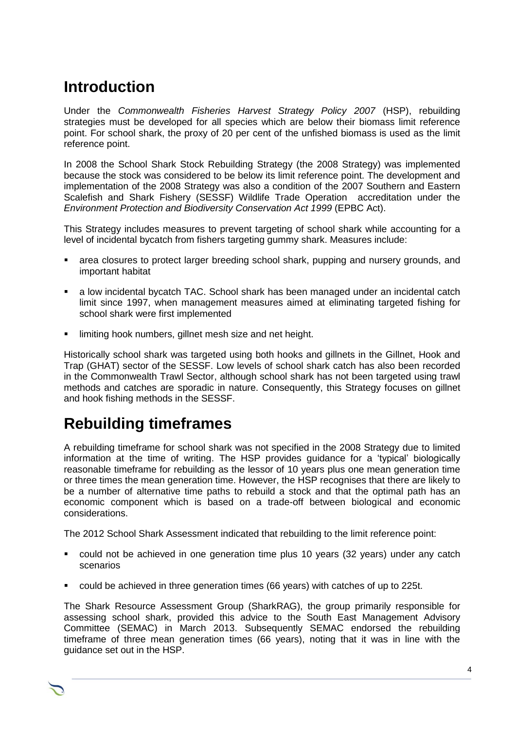# <span id="page-3-0"></span>**Introduction**

Under the *Commonwealth Fisheries Harvest Strategy Policy 2007* (HSP), rebuilding strategies must be developed for all species which are below their biomass limit reference point. For school shark, the proxy of 20 per cent of the unfished biomass is used as the limit reference point.

In 2008 the School Shark Stock Rebuilding Strategy (the 2008 Strategy) was implemented because the stock was considered to be below its limit reference point. The development and implementation of the 2008 Strategy was also a condition of the 2007 Southern and Eastern Scalefish and Shark Fishery (SESSF) Wildlife Trade Operation accreditation under the *Environment Protection and Biodiversity Conservation Act 1999* (EPBC Act).

This Strategy includes measures to prevent targeting of school shark while accounting for a level of incidental bycatch from fishers targeting gummy shark. Measures include:

- area closures to protect larger breeding school shark, pupping and nursery grounds, and important habitat
- a low incidental bycatch TAC. School shark has been managed under an incidental catch limit since 1997, when management measures aimed at eliminating targeted fishing for school shark were first implemented
- **I** limiting hook numbers, gillnet mesh size and net height.

Historically school shark was targeted using both hooks and gillnets in the Gillnet, Hook and Trap (GHAT) sector of the SESSF. Low levels of school shark catch has also been recorded in the Commonwealth Trawl Sector, although school shark has not been targeted using trawl methods and catches are sporadic in nature. Consequently, this Strategy focuses on gillnet and hook fishing methods in the SESSF.

# <span id="page-3-1"></span>**Rebuilding timeframes**

A rebuilding timeframe for school shark was not specified in the 2008 Strategy due to limited information at the time of writing. The HSP provides guidance for a 'typical' biologically reasonable timeframe for rebuilding as the lessor of 10 years plus one mean generation time or three times the mean generation time. However, the HSP recognises that there are likely to be a number of alternative time paths to rebuild a stock and that the optimal path has an economic component which is based on a trade-off between biological and economic considerations.

The 2012 School Shark Assessment indicated that rebuilding to the limit reference point:

- could not be achieved in one generation time plus 10 years (32 years) under any catch scenarios
- could be achieved in three generation times (66 years) with catches of up to 225t.

The Shark Resource Assessment Group (SharkRAG), the group primarily responsible for assessing school shark, provided this advice to the South East Management Advisory Committee (SEMAC) in March 2013. Subsequently SEMAC endorsed the rebuilding timeframe of three mean generation times (66 years), noting that it was in line with the guidance set out in the HSP.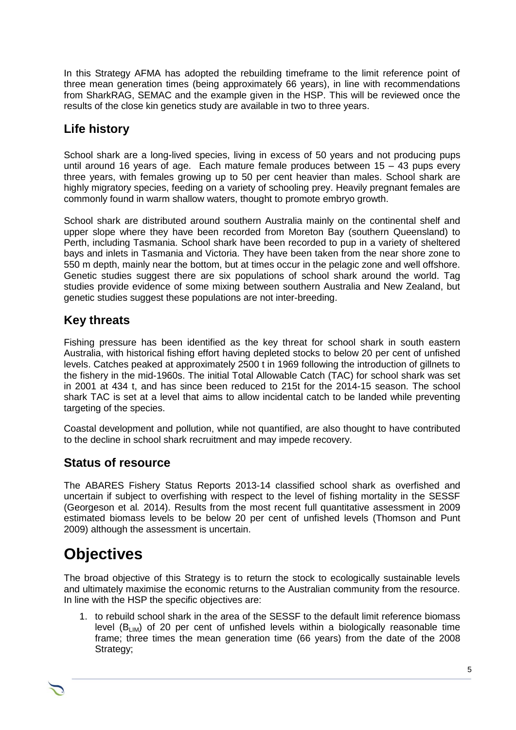In this Strategy AFMA has adopted the rebuilding timeframe to the limit reference point of three mean generation times (being approximately 66 years), in line with recommendations from SharkRAG, SEMAC and the example given in the HSP. This will be reviewed once the results of the close kin genetics study are available in two to three years.

## <span id="page-4-0"></span>**Life history**

School shark are a long-lived species, living in excess of 50 years and not producing pups until around 16 years of age. Each mature female produces between 15 – 43 pups every three years, with females growing up to 50 per cent heavier than males. School shark are highly migratory species, feeding on a variety of schooling prey. Heavily pregnant females are commonly found in warm shallow waters, thought to promote embryo growth.

School shark are distributed around southern Australia mainly on the continental shelf and upper slope where they have been recorded from Moreton Bay (southern Queensland) to Perth, including Tasmania. School shark have been recorded to pup in a variety of sheltered bays and inlets in Tasmania and Victoria. They have been taken from the near shore zone to 550 m depth, mainly near the bottom, but at times occur in the pelagic zone and well offshore. Genetic studies suggest there are six populations of school shark around the world. Tag studies provide evidence of some mixing between southern Australia and New Zealand, but genetic studies suggest these populations are not inter-breeding.

### <span id="page-4-1"></span>**Key threats**

Fishing pressure has been identified as the key threat for school shark in south eastern Australia, with historical fishing effort having depleted stocks to below 20 per cent of unfished levels. Catches peaked at approximately 2500 t in 1969 following the introduction of gillnets to the fishery in the mid-1960s. The initial Total Allowable Catch (TAC) for school shark was set in 2001 at 434 t, and has since been reduced to 215t for the 2014-15 season. The school shark TAC is set at a level that aims to allow incidental catch to be landed while preventing targeting of the species.

Coastal development and pollution, while not quantified, are also thought to have contributed to the decline in school shark recruitment and may impede recovery.

### <span id="page-4-2"></span>**Status of resource**

The ABARES Fishery Status Reports 2013-14 classified school shark as overfished and uncertain if subject to overfishing with respect to the level of fishing mortality in the SESSF (Georgeson et al*.* 2014). Results from the most recent full quantitative assessment in 2009 estimated biomass levels to be below 20 per cent of unfished levels (Thomson and Punt 2009) although the assessment is uncertain.

# <span id="page-4-3"></span>**Objectives**

The broad objective of this Strategy is to return the stock to ecologically sustainable levels and ultimately maximise the economic returns to the Australian community from the resource. In line with the HSP the specific objectives are:

1. to rebuild school shark in the area of the SESSF to the default limit reference biomass level  $(B_{LM})$  of 20 per cent of unfished levels within a biologically reasonable time frame; three times the mean generation time (66 years) from the date of the 2008 Strategy;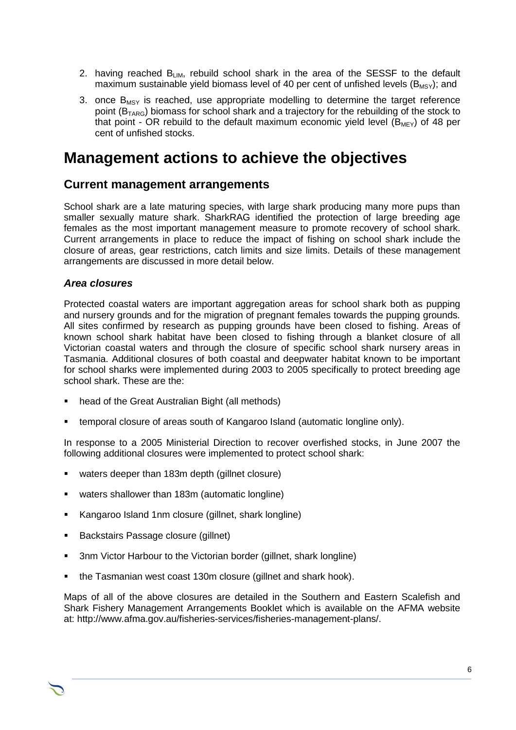- 2. having reached B<sub>LIM</sub>, rebuild school shark in the area of the SESSF to the default maximum sustainable yield biomass level of 40 per cent of unfished levels  $(B_{MSY})$ ; and
- 3. once  $B_{MSV}$  is reached, use appropriate modelling to determine the target reference point ( $B_{TARG}$ ) biomass for school shark and a trajectory for the rebuilding of the stock to that point - OR rebuild to the default maximum economic yield level  $(B_{MFY})$  of 48 per cent of unfished stocks.

# <span id="page-5-0"></span>**Management actions to achieve the objectives**

#### <span id="page-5-1"></span>**Current management arrangements**

School shark are a late maturing species, with large shark producing many more pups than smaller sexually mature shark. SharkRAG identified the protection of large breeding age females as the most important management measure to promote recovery of school shark. Current arrangements in place to reduce the impact of fishing on school shark include the closure of areas, gear restrictions, catch limits and size limits. Details of these management arrangements are discussed in more detail below.

#### <span id="page-5-2"></span>*Area closures*

Protected coastal waters are important aggregation areas for school shark both as pupping and nursery grounds and for the migration of pregnant females towards the pupping grounds. All sites confirmed by research as pupping grounds have been closed to fishing. Areas of known school shark habitat have been closed to fishing through a blanket closure of all Victorian coastal waters and through the closure of specific school shark nursery areas in Tasmania. Additional closures of both coastal and deepwater habitat known to be important for school sharks were implemented during 2003 to 2005 specifically to protect breeding age school shark. These are the:

- head of the Great Australian Bight (all methods)
- temporal closure of areas south of Kangaroo Island (automatic longline only).

In response to a 2005 Ministerial Direction to recover overfished stocks, in June 2007 the following additional closures were implemented to protect school shark:

- waters deeper than 183m depth (gillnet closure)
- waters shallower than 183m (automatic longline)
- Kangaroo Island 1nm closure (gillnet, shark longline)
- Backstairs Passage closure (gillnet)
- 3nm Victor Harbour to the Victorian border (gillnet, shark longline)
- **the Tasmanian west coast 130m closure (gillnet and shark hook).**

Maps of all of the above closures are detailed in the Southern and Eastern Scalefish and Shark Fishery Management Arrangements Booklet which is available on the AFMA website at: http://www.afma.gov.au/fisheries-services/fisheries-management-plans/.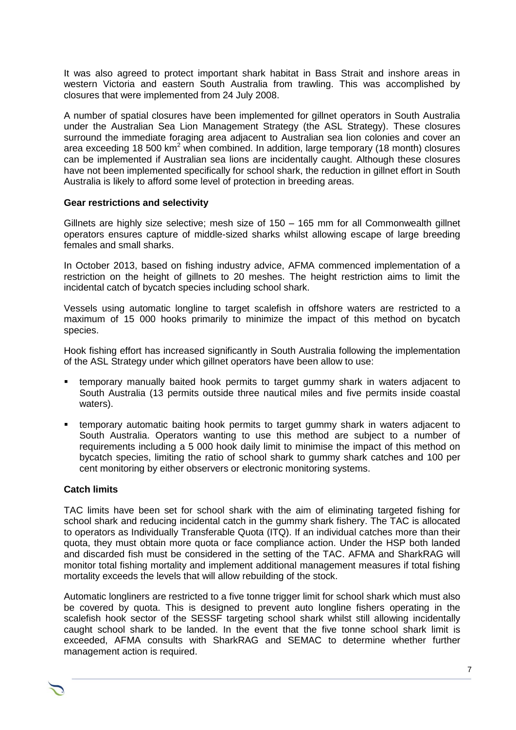It was also agreed to protect important shark habitat in Bass Strait and inshore areas in western Victoria and eastern South Australia from trawling. This was accomplished by closures that were implemented from 24 July 2008.

A number of spatial closures have been implemented for gillnet operators in South Australia under the Australian Sea Lion Management Strategy (the ASL Strategy). These closures surround the immediate foraging area adjacent to Australian sea lion colonies and cover an area exceeding 18 500 km<sup>2</sup> when combined. In addition, large temporary (18 month) closures can be implemented if Australian sea lions are incidentally caught. Although these closures have not been implemented specifically for school shark, the reduction in gillnet effort in South Australia is likely to afford some level of protection in breeding areas.

#### **Gear restrictions and selectivity**

Gillnets are highly size selective; mesh size of 150 – 165 mm for all Commonwealth gillnet operators ensures capture of middle-sized sharks whilst allowing escape of large breeding females and small sharks.

In October 2013, based on fishing industry advice, AFMA commenced implementation of a restriction on the height of gillnets to 20 meshes. The height restriction aims to limit the incidental catch of bycatch species including school shark.

Vessels using automatic longline to target scalefish in offshore waters are restricted to a maximum of 15 000 hooks primarily to minimize the impact of this method on bycatch species.

Hook fishing effort has increased significantly in South Australia following the implementation of the ASL Strategy under which gillnet operators have been allow to use:

- temporary manually baited hook permits to target gummy shark in waters adjacent to South Australia (13 permits outside three nautical miles and five permits inside coastal waters).
- temporary automatic baiting hook permits to target gummy shark in waters adjacent to South Australia. Operators wanting to use this method are subject to a number of requirements including a 5 000 hook daily limit to minimise the impact of this method on bycatch species, limiting the ratio of school shark to gummy shark catches and 100 per cent monitoring by either observers or electronic monitoring systems.

#### **Catch limits**

TAC limits have been set for school shark with the aim of eliminating targeted fishing for school shark and reducing incidental catch in the gummy shark fishery. The TAC is allocated to operators as Individually Transferable Quota (ITQ). If an individual catches more than their quota, they must obtain more quota or face compliance action. Under the HSP both landed and discarded fish must be considered in the setting of the TAC. AFMA and SharkRAG will monitor total fishing mortality and implement additional management measures if total fishing mortality exceeds the levels that will allow rebuilding of the stock.

Automatic longliners are restricted to a five tonne trigger limit for school shark which must also be covered by quota. This is designed to prevent auto longline fishers operating in the scalefish hook sector of the SESSF targeting school shark whilst still allowing incidentally caught school shark to be landed. In the event that the five tonne school shark limit is exceeded, AFMA consults with SharkRAG and SEMAC to determine whether further management action is required.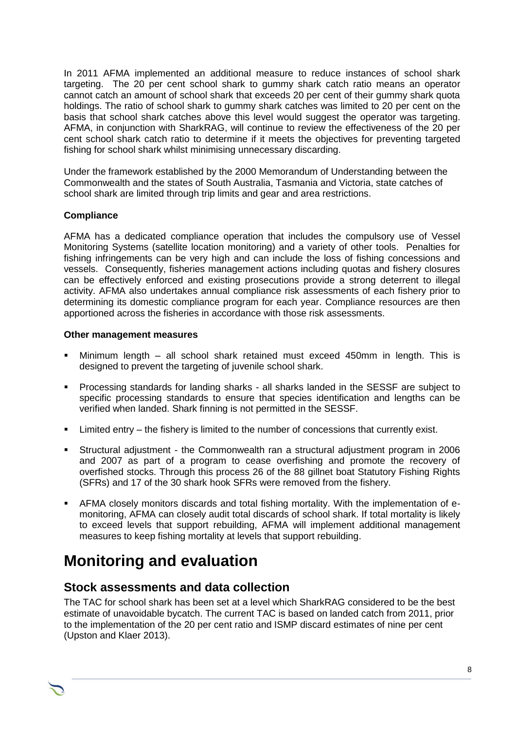In 2011 AFMA implemented an additional measure to reduce instances of school shark targeting. The 20 per cent school shark to gummy shark catch ratio means an operator cannot catch an amount of school shark that exceeds 20 per cent of their gummy shark quota holdings. The ratio of school shark to gummy shark catches was limited to 20 per cent on the basis that school shark catches above this level would suggest the operator was targeting. AFMA, in conjunction with SharkRAG, will continue to review the effectiveness of the 20 per cent school shark catch ratio to determine if it meets the objectives for preventing targeted fishing for school shark whilst minimising unnecessary discarding.

Under the framework established by the 2000 Memorandum of Understanding between the Commonwealth and the states of South Australia, Tasmania and Victoria, state catches of school shark are limited through trip limits and gear and area restrictions.

#### **Compliance**

AFMA has a dedicated compliance operation that includes the compulsory use of Vessel Monitoring Systems (satellite location monitoring) and a variety of other tools. Penalties for fishing infringements can be very high and can include the loss of fishing concessions and vessels. Consequently, fisheries management actions including quotas and fishery closures can be effectively enforced and existing prosecutions provide a strong deterrent to illegal activity. AFMA also undertakes annual compliance risk assessments of each fishery prior to determining its domestic compliance program for each year. Compliance resources are then apportioned across the fisheries in accordance with those risk assessments.

#### **Other management measures**

- Minimum length all school shark retained must exceed 450mm in length. This is designed to prevent the targeting of juvenile school shark.
- Processing standards for landing sharks all sharks landed in the SESSF are subject to specific processing standards to ensure that species identification and lengths can be verified when landed. Shark finning is not permitted in the SESSF.
- **EXT** Limited entry the fishery is limited to the number of concessions that currently exist.
- Structural adjustment the Commonwealth ran a structural adjustment program in 2006 and 2007 as part of a program to cease overfishing and promote the recovery of overfished stocks. Through this process 26 of the 88 gillnet boat Statutory Fishing Rights (SFRs) and 17 of the 30 shark hook SFRs were removed from the fishery.
- AFMA closely monitors discards and total fishing mortality. With the implementation of emonitoring, AFMA can closely audit total discards of school shark. If total mortality is likely to exceed levels that support rebuilding, AFMA will implement additional management measures to keep fishing mortality at levels that support rebuilding.

# <span id="page-7-0"></span>**Monitoring and evaluation**

#### <span id="page-7-1"></span>**Stock assessments and data collection**

The TAC for school shark has been set at a level which SharkRAG considered to be the best estimate of unavoidable bycatch. The current TAC is based on landed catch from 2011, prior to the implementation of the 20 per cent ratio and ISMP discard estimates of nine per cent (Upston and Klaer 2013).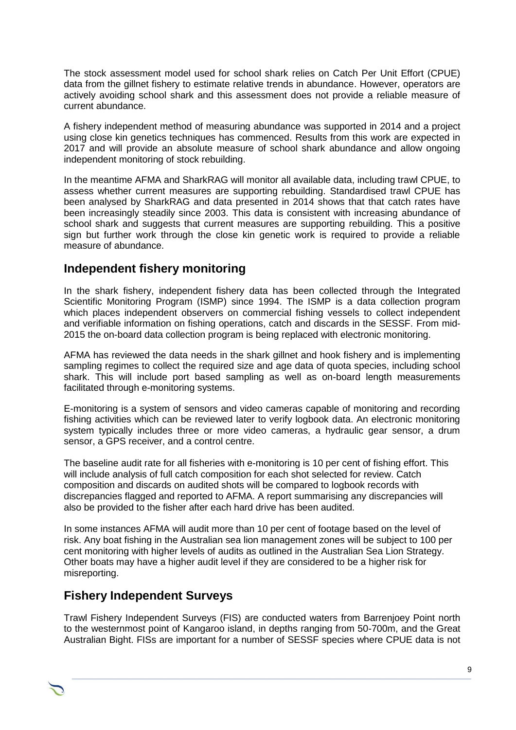The stock assessment model used for school shark relies on Catch Per Unit Effort (CPUE) data from the gillnet fishery to estimate relative trends in abundance. However, operators are actively avoiding school shark and this assessment does not provide a reliable measure of current abundance.

A fishery independent method of measuring abundance was supported in 2014 and a project using close kin genetics techniques has commenced. Results from this work are expected in 2017 and will provide an absolute measure of school shark abundance and allow ongoing independent monitoring of stock rebuilding.

In the meantime AFMA and SharkRAG will monitor all available data, including trawl CPUE, to assess whether current measures are supporting rebuilding. Standardised trawl CPUE has been analysed by SharkRAG and data presented in 2014 shows that that catch rates have been increasingly steadily since 2003. This data is consistent with increasing abundance of school shark and suggests that current measures are supporting rebuilding. This a positive sign but further work through the close kin genetic work is required to provide a reliable measure of abundance.

### <span id="page-8-0"></span>**Independent fishery monitoring**

In the shark fishery, independent fishery data has been collected through the Integrated Scientific Monitoring Program (ISMP) since 1994. The ISMP is a data collection program which places independent observers on commercial fishing vessels to collect independent and verifiable information on fishing operations, catch and discards in the SESSF. From mid-2015 the on-board data collection program is being replaced with electronic monitoring.

AFMA has reviewed the data needs in the shark gillnet and hook fishery and is implementing sampling regimes to collect the required size and age data of quota species, including school shark. This will include port based sampling as well as on-board length measurements facilitated through e-monitoring systems.

E-monitoring is a system of sensors and video cameras capable of monitoring and recording fishing activities which can be reviewed later to verify logbook data. An electronic monitoring system typically includes three or more video cameras, a hydraulic gear sensor, a drum sensor, a GPS receiver, and a control centre.

The baseline audit rate for all fisheries with e-monitoring is 10 per cent of fishing effort. This will include analysis of full catch composition for each shot selected for review. Catch composition and discards on audited shots will be compared to logbook records with discrepancies flagged and reported to AFMA. A report summarising any discrepancies will also be provided to the fisher after each hard drive has been audited.

In some instances AFMA will audit more than 10 per cent of footage based on the level of risk. Any boat fishing in the Australian sea lion management zones will be subject to 100 per cent monitoring with higher levels of audits as outlined in the Australian Sea Lion Strategy. Other boats may have a higher audit level if they are considered to be a higher risk for misreporting.

### <span id="page-8-1"></span>**Fishery Independent Surveys**

Trawl Fishery Independent Surveys (FIS) are conducted waters from Barrenjoey Point north to the westernmost point of Kangaroo island, in depths ranging from 50-700m, and the Great Australian Bight. FISs are important for a number of SESSF species where CPUE data is not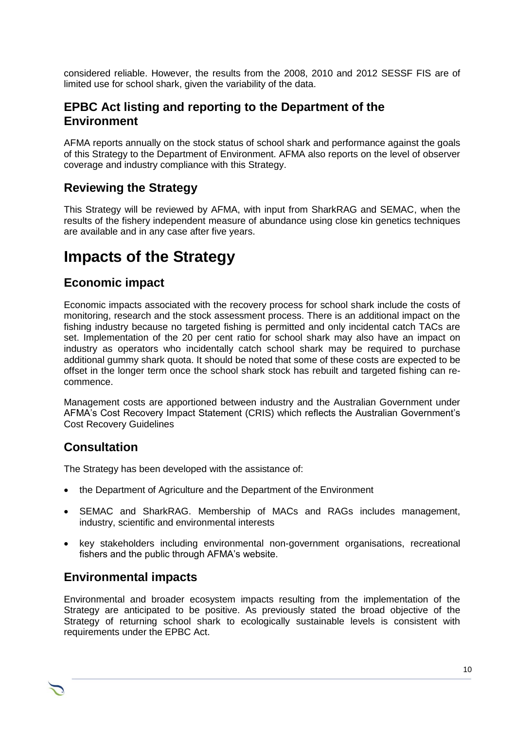considered reliable. However, the results from the 2008, 2010 and 2012 SESSF FIS are of limited use for school shark, given the variability of the data.

### <span id="page-9-0"></span>**EPBC Act listing and reporting to the Department of the Environment**

AFMA reports annually on the stock status of school shark and performance against the goals of this Strategy to the Department of Environment. AFMA also reports on the level of observer coverage and industry compliance with this Strategy.

### <span id="page-9-1"></span>**Reviewing the Strategy**

This Strategy will be reviewed by AFMA, with input from SharkRAG and SEMAC, when the results of the fishery independent measure of abundance using close kin genetics techniques are available and in any case after five years.

# <span id="page-9-2"></span>**Impacts of the Strategy**

### <span id="page-9-3"></span>**Economic impact**

Economic impacts associated with the recovery process for school shark include the costs of monitoring, research and the stock assessment process. There is an additional impact on the fishing industry because no targeted fishing is permitted and only incidental catch TACs are set. Implementation of the 20 per cent ratio for school shark may also have an impact on industry as operators who incidentally catch school shark may be required to purchase additional gummy shark quota. It should be noted that some of these costs are expected to be offset in the longer term once the school shark stock has rebuilt and targeted fishing can recommence.

Management costs are apportioned between industry and the Australian Government under AFMA's Cost Recovery Impact Statement (CRIS) which reflects the Australian Government's Cost Recovery Guidelines

### <span id="page-9-4"></span>**Consultation**

The Strategy has been developed with the assistance of:

- the Department of Agriculture and the Department of the Environment
- SEMAC and SharkRAG. Membership of MACs and RAGs includes management, industry, scientific and environmental interests
- key stakeholders including environmental non-government organisations, recreational fishers and the public through AFMA's website.

### <span id="page-9-5"></span>**Environmental impacts**

Environmental and broader ecosystem impacts resulting from the implementation of the Strategy are anticipated to be positive. As previously stated the broad objective of the Strategy of returning school shark to ecologically sustainable levels is consistent with requirements under the EPBC Act.